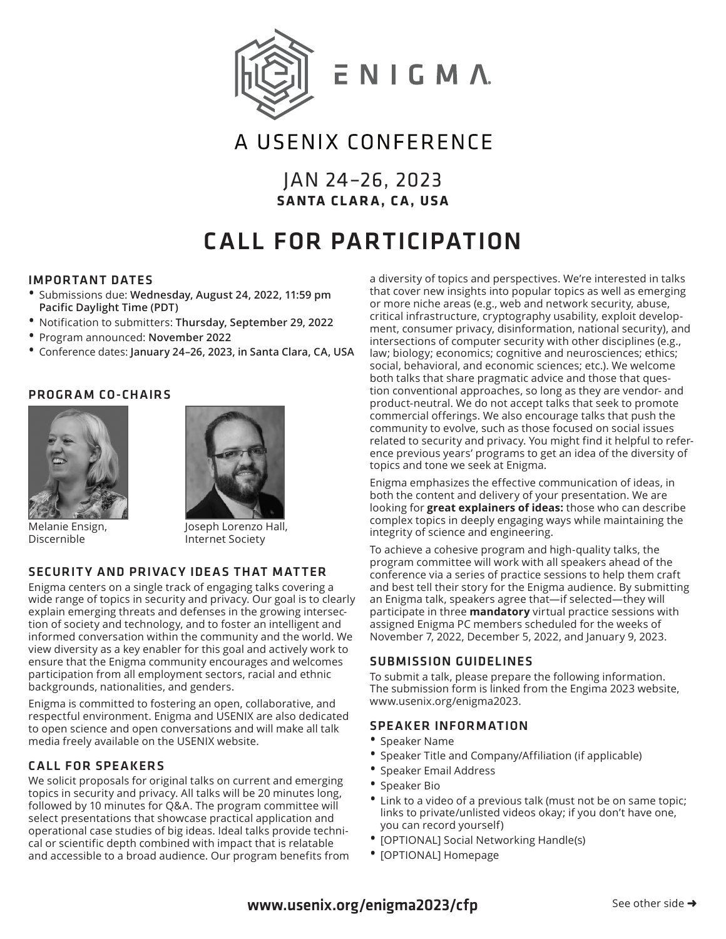

# A USENIX CONFERENCE

JAN 24–26, 2023 **SANTA CLARA, CA, USA**

# CALL FOR PARTICIPATION

#### IMPORTANT DATES

- Submissions due: **Wednesday, August 24, 2022, 11:59 pm Pacific Daylight Time (PDT)**
- Notification to submitters: **Thursday, September 29, 2022**
- Program announced: **November 2022**
- Conference dates: **January 24–26, 2023, in Santa Clara, CA, USA**

# PROGRAM CO-CHAIRS



Melanie Ensign, Discernible



Joseph Lorenzo Hall, Internet Society

# SECURITY AND PRIVACY IDEAS THAT MATTER

Enigma centers on a single track of engaging talks covering a wide range of topics in security and privacy. Our goal is to clearly explain emerging threats and defenses in the growing intersection of society and technology, and to foster an intelligent and informed conversation within the community and the world. We view diversity as a key enabler for this goal and actively work to ensure that the Enigma community encourages and welcomes participation from all employment sectors, racial and ethnic backgrounds, nationalities, and genders.

Enigma is committed to fostering an open, collaborative, and respectful environment. Enigma and USENIX are also dedicated to open science and open conversations and will make all talk media freely available on the USENIX website.

# CALL FOR SPEAKERS

We solicit proposals for original talks on current and emerging topics in security and privacy. All talks will be 20 minutes long, followed by 10 minutes for Q&A. The program committee will select presentations that showcase practical application and operational case studies of big ideas. Ideal talks provide technical or scientific depth combined with impact that is relatable and accessible to a broad audience. Our program benefits from a diversity of topics and perspectives. We're interested in talks that cover new insights into popular topics as well as emerging or more niche areas (e.g., web and network security, abuse, critical infrastructure, cryptography usability, exploit development, consumer privacy, disinformation, national security), and intersections of computer security with other disciplines (e.g., law; biology; economics; cognitive and neurosciences; ethics; social, behavioral, and economic sciences; etc.). We welcome both talks that share pragmatic advice and those that question conventional approaches, so long as they are vendor- and product-neutral. We do not accept talks that seek to promote commercial offerings. We also encourage talks that push the community to evolve, such as those focused on social issues related to security and privacy. You might find it helpful to reference previous years' programs to get an idea of the diversity of topics and tone we seek at Enigma.

Enigma emphasizes the effective communication of ideas, in both the content and delivery of your presentation. We are looking for **great explainers of ideas:** those who can describe complex topics in deeply engaging ways while maintaining the integrity of science and engineering.

To achieve a cohesive program and high-quality talks, the program committee will work with all speakers ahead of the conference via a series of practice sessions to help them craft and best tell their story for the Enigma audience. By submitting an Enigma talk, speakers agree that—if selected—they will participate in three **mandatory** virtual practice sessions with assigned Enigma PC members scheduled for the weeks of November 7, 2022, December 5, 2022, and January 9, 2023.

#### SUBMISSION GUIDELINES

To submit a talk, please prepare the following information. The submission form is linked from the Engima 2023 website, www.usenix.org/enigma2023.

#### SPEAKER INFORMATION

- Speaker Name
- Speaker Title and Company/Affiliation (if applicable)
- Speaker Email Address
- Speaker Bio
- Link to a video of a previous talk (must not be on same topic; links to private/unlisted videos okay; if you don't have one, you can record yourself)
- [OPTIONAL] Social Networking Handle(s)
- [OPTIONAL] Homepage